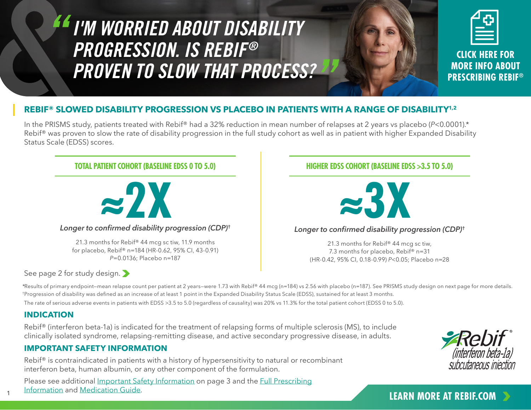# *I'M WORRIED ABOUT DISABILITY PROGRESSION. IS REBIF® PROVEN TO SLOW THAT PROCESS?*

**CLICK HERE FOR MORE INFO ABOUT PRESCRIBING REBIF®**

# **REBIF® SLOWED DISABILITY PROGRESSION VS PLACEBO IN PATIENTS WITH A RANGE OF DISABILITY1,2**

In the PRISMS study, patients treated with Rebif® had a 32% reduction in mean number of relapses at 2 years vs placebo (*P*<0.0001).\* Rebif<sup>®</sup> was proven to slow the rate of disability progression in the full study cohort as well as in patient with higher Expanded Disability Status Scale (EDSS) scores.

# *Longer to confirmed disability progression (CDP)* **† ≈2X ≈3X** *Longer to confirmed disability progression (CDP)***† TOTAL PATIENT COHORT (BASELINE EDSS 0 TO 5.0) HIGHER EDSS COHORT (BASELINE EDSS >3.5 TO 5.0)** 21.3 months for Rebif® 44 mcg sc tiw, 11.9 months for placebo, Rebif® n=184 (HR-0.62, 95% CI, 43-0.91) *P*=0.0136; Placebo n=187 21.3 months for Rebif® 44 mcg sc tiw, 7.3 months for placebo, Rebif® n=31 (HR-0.42, 95% CI, 0.18-0.99) *P*<0.05; Placebo n=28

See page 2 for study design.

\*Results of primary endpoint—mean relapse count per patient at 2 years—were 1.73 with Rebif® 44 mcg (n=184) vs 2.56 with placebo (n=187). See PRISMS study design on next page for more details. †Progression of disability was defined as an increase of at least 1 point in the Expanded Disability Status Scale (EDSS), sustained for at least 3 months.

The rate of serious adverse events in patients with EDSS >3.5 to 5.0 (regardless of causality) was 20% vs 11.3% for the total patient cohort (EDSS 0 to 5.0).

# **INDICATION**

Rebif® (interferon beta-1a) is indicated for the treatment of relapsing forms of multiple sclerosis (MS), to include clinically isolated syndrome, relapsing-remitting disease, and active secondary progressive disease, in adults.

# **IMPORTANT SAFETY INFORMATION**

Rebif<sup>®</sup> is contraindicated in patients with a history of hypersensitivity to natural or recombinant interferon beta, human albumin, or any other component of the formulation.

Please see additional Important Safety Information on page 3 and the Full Prescribing Information and Medication Guide. **1 Community 19th Community 19th Community 19th Community 19th Community 19th Community 19th Community 19th Community 19th Community 19th Community 19th Community 19th Community 19th Commu** 

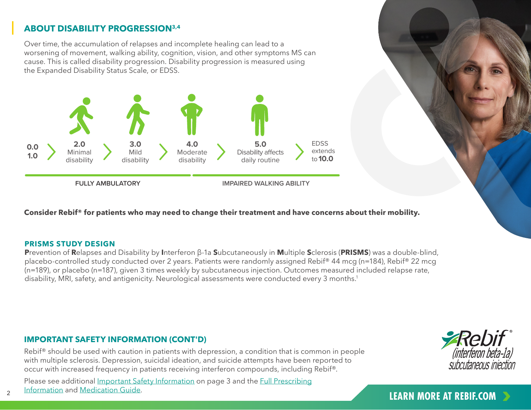# **ABOUT DISABILITY PROGRESSION3,4**

Over time, the accumulation of relapses and incomplete healing can lead to a worsening of movement, walking ability, cognition, vision, and other symptoms MS can cause. This is called disability progression. Disability progression is measured using the Expanded Disability Status Scale, or EDSS.



**Consider Rebif® for patients who may need to change their treatment and have concerns about their mobility.** 

#### **PRISMS STUDY DESIGN**

**P**revention of **R**elapses and Disability by **I**nterferon β-1a **S**ubcutaneously in **M**ultiple **S**clerosis (**PRISMS**) was a double-blind, placebo-controlled study conducted over 2 years. Patients were randomly assigned Rebif® 44 mcg (n=184), Rebif® 22 mcg (n=189), or placebo (n=187), given 3 times weekly by subcutaneous injection. Outcomes measured included relapse rate, disability, MRI, safety, and antigenicity. Neurological assessments were conducted every 3 months.<sup>1</sup>

## **IMPORTANT SAFETY INFORMATION (CONT'D)**

Rebif<sup>®</sup> should be used with caution in patients with depression, a condition that is common in people with multiple sclerosis. Depression, suicidal ideation, and suicide attempts have been reported to occur with increased frequency in patients receiving interferon compounds, including Rebif®.

**LEARN MORE AT REBIF.COM** Please see additional Important Safety Information on page 3 and the Full Prescribing Information and Medication Guide.